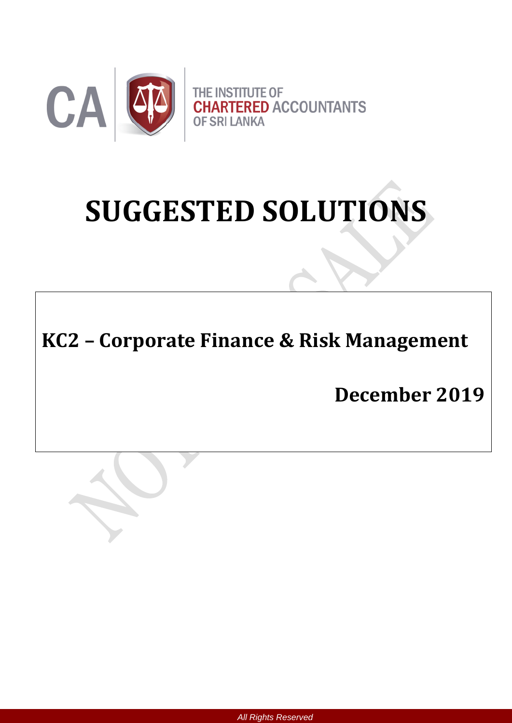

# **SUGGESTED SOLUTIONS**

# **KC2 – Corporate Finance & Risk Management**

**December 2019**



*All Rights Reserved*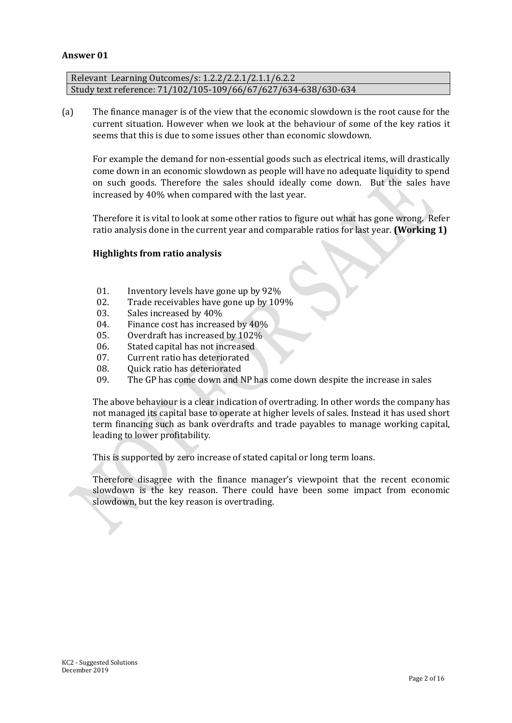#### **Answer 01**

Relevant Learning Outcomes/s: 1.2.2/2.2.1/2.1.1/6.2.2 Study text reference: 71/102/105-109/66/67/627/634-638/630-634

(a) The finance manager is of the view that the economic slowdown is the root cause for the current situation. However when we look at the behaviour of some of the key ratios it seems that this is due to some issues other than economic slowdown.

For example the demand for non-essential goods such as electrical items, will drastically come down in an economic slowdown as people will have no adequate liquidity to spend on such goods. Therefore the sales should ideally come down. But the sales have increased by 40% when compared with the last year.

Therefore it is vital to look at some other ratios to figure out what has gone wrong. Refer ratio analysis done in the current year and comparable ratios for last year. **(Working 1)**

#### **Highlights from ratio analysis**

- 01. Inventory levels have gone up by 92%
- 02. Trade receivables have gone up by 109%
- 03. Sales increased by 40%
- 04. Finance cost has increased by 40%
- 05. Overdraft has increased by 102%
- 06. Stated capital has not increased
- 07. Current ratio has deteriorated
- 08. Ouick ratio has deteriorated
- 09. The GP has come down and NP has come down despite the increase in sales

The above behaviour is a clear indication of overtrading. In other words the company has not managed its capital base to operate at higher levels of sales. Instead it has used short term financing such as bank overdrafts and trade payables to manage working capital, leading to lower profitability.

This is supported by zero increase of stated capital or long term loans.

Therefore disagree with the finance manager's viewpoint that the recent economic slowdown is the key reason. There could have been some impact from economic slowdown, but the key reason is overtrading.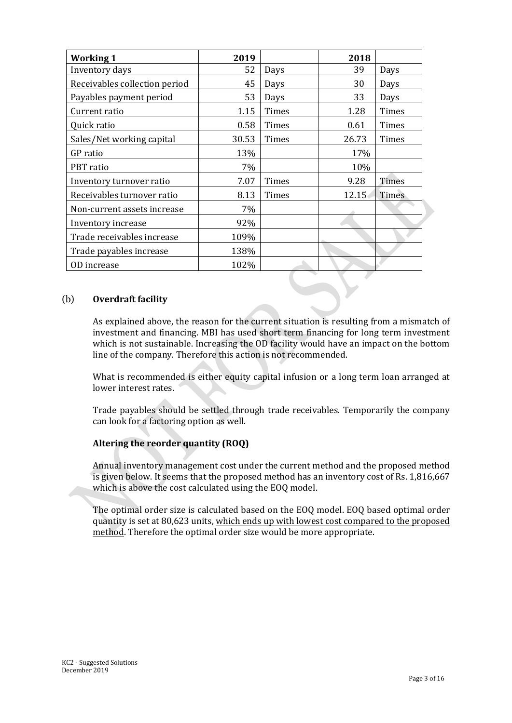| <b>Working 1</b>              | 2019  |       | 2018  |       |
|-------------------------------|-------|-------|-------|-------|
| Inventory days                | 52    | Days  | 39    | Days  |
| Receivables collection period | 45    | Days  | 30    | Days  |
| Payables payment period       | 53    | Days  | 33    | Days  |
| Current ratio                 | 1.15  | Times | 1.28  | Times |
| Quick ratio                   | 0.58  | Times | 0.61  | Times |
| Sales/Net working capital     | 30.53 | Times | 26.73 | Times |
| GP ratio                      | 13%   |       | 17%   |       |
| PBT ratio                     | 7%    |       | 10%   |       |
| Inventory turnover ratio      | 7.07  | Times | 9.28  | Times |
| Receivables turnover ratio    | 8.13  | Times | 12.15 | Times |
| Non-current assets increase   | 7%    |       |       |       |
| Inventory increase            | 92%   |       |       |       |
| Trade receivables increase    | 109%  |       |       |       |
| Trade payables increase       | 138%  |       |       |       |
| OD increase                   | 102%  |       |       |       |

#### (b) **Overdraft facility**

As explained above, the reason for the current situation is resulting from a mismatch of investment and financing. MBI has used short term financing for long term investment which is not sustainable. Increasing the OD facility would have an impact on the bottom line of the company. Therefore this action is not recommended.

What is recommended is either equity capital infusion or a long term loan arranged at lower interest rates.

Trade payables should be settled through trade receivables. Temporarily the company can look for a factoring option as well.

#### **Altering the reorder quantity (ROQ)**

Annual inventory management cost under the current method and the proposed method is given below. It seems that the proposed method has an inventory cost of Rs. 1,816,667 which is above the cost calculated using the EOQ model.

The optimal order size is calculated based on the EOQ model. EOQ based optimal order quantity is set at 80,623 units, which ends up with lowest cost compared to the proposed method. Therefore the optimal order size would be more appropriate.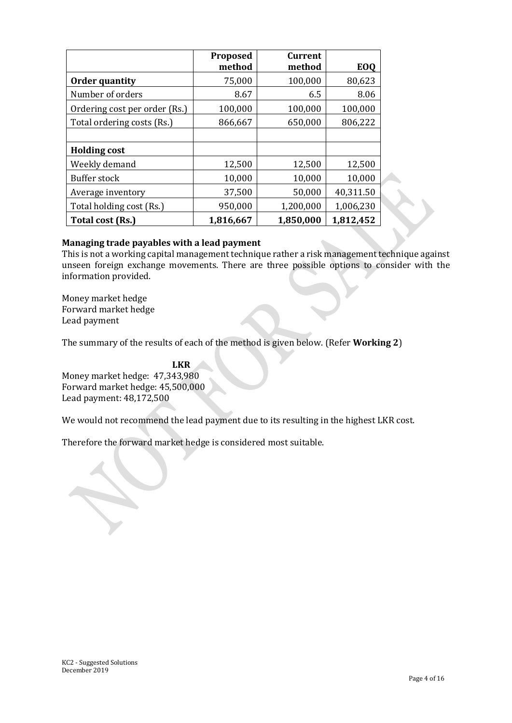|                               | Proposed<br>method | Current<br>method | <b>EOQ</b> |
|-------------------------------|--------------------|-------------------|------------|
| <b>Order quantity</b>         | 75,000             | 100,000           | 80,623     |
| Number of orders              | 8.67               | 6.5               | 8.06       |
| Ordering cost per order (Rs.) | 100,000            | 100,000           | 100,000    |
| Total ordering costs (Rs.)    | 866,667            | 650,000           | 806,222    |
|                               |                    |                   |            |
| <b>Holding cost</b>           |                    |                   |            |
| Weekly demand                 | 12,500             | 12,500            | 12,500     |
| Buffer stock                  | 10,000             | 10,000            | 10,000     |
| Average inventory             | 37,500             | 50,000            | 40,311.50  |
| Total holding cost (Rs.)      | 950,000            | 1,200,000         | 1,006,230  |
| Total cost (Rs.)              | 1,816,667          | 1,850,000         | 1,812,452  |

#### **Managing trade payables with a lead payment**

This is not a working capital management technique rather a risk management technique against unseen foreign exchange movements. There are three possible options to consider with the information provided.

Money market hedge Forward market hedge Lead payment

The summary of the results of each of the method is given below. (Refer **Working 2**)

 **LKR** Money market hedge: 47,343,980 Forward market hedge: 45,500,000 Lead payment: 48,172,500

We would not recommend the lead payment due to its resulting in the highest LKR cost.

Therefore the forward market hedge is considered most suitable.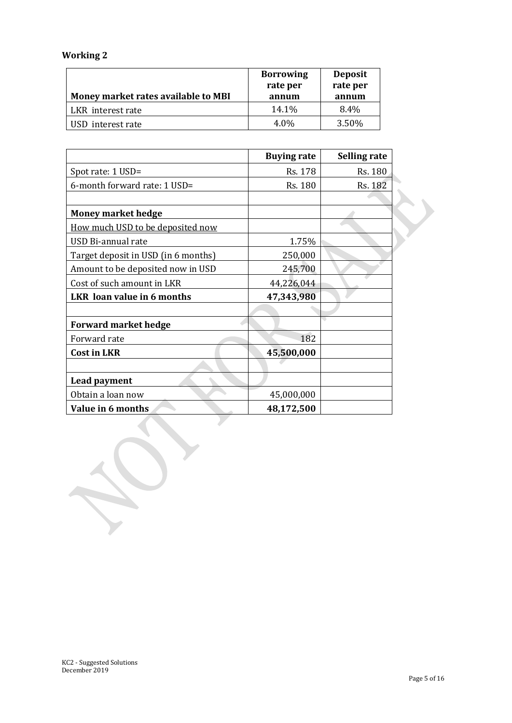## **Working 2**

| Money market rates available to MBI | <b>Borrowing</b><br>rate per<br>annum | <b>Deposit</b><br>rate per<br>annum |
|-------------------------------------|---------------------------------------|-------------------------------------|
| LKR interest rate                   | 14.1%                                 | $8.4\%$                             |
| USD interest rate                   | $4.0\%$                               | 3.50%                               |

|                                     | <b>Buying rate</b> | Selling rate |
|-------------------------------------|--------------------|--------------|
| Spot rate: 1 USD=                   | Rs. 178            | Rs. 180      |
| 6-month forward rate: 1 USD=        | Rs. 180            | Rs. 182      |
|                                     |                    |              |
| <b>Money market hedge</b>           |                    |              |
| How much USD to be deposited now    |                    |              |
| USD Bi-annual rate                  | 1.75%              |              |
| Target deposit in USD (in 6 months) | 250,000            |              |
| Amount to be deposited now in USD   | 245,700            |              |
| Cost of such amount in LKR          | 44,226,044         |              |
| LKR loan value in 6 months          | 47,343,980         |              |
|                                     |                    |              |
| <b>Forward market hedge</b>         |                    |              |
| Forward rate                        | 182                |              |
| <b>Cost in LKR</b>                  | 45,500,000         |              |
|                                     |                    |              |
| Lead payment                        |                    |              |
| Obtain a loan now                   | 45,000,000         |              |
| Value in 6 months                   | 48,172,500         |              |

P.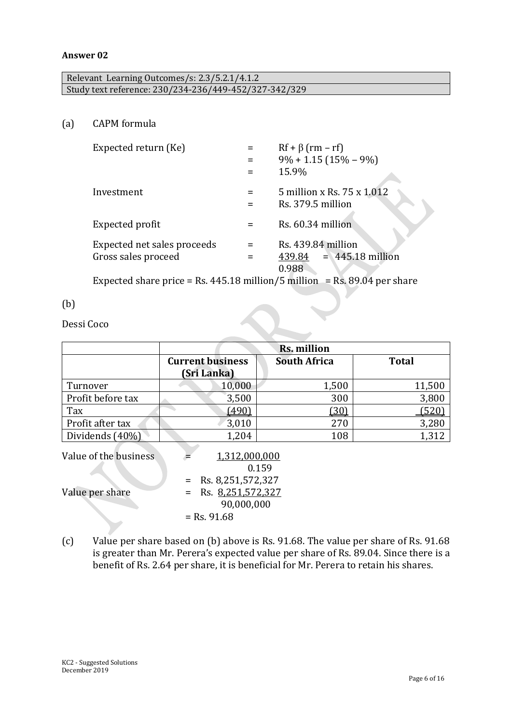#### **Answer 02**

| Relevant Learning Outcomes/s: 2.3/5.2.1/4.1.2         |  |
|-------------------------------------------------------|--|
| Study text reference: 230/234-236/449-452/327-342/329 |  |

(a) CAPM formula

| $Rf + \beta$ (rm – rf)                                   |
|----------------------------------------------------------|
| $9\% + 1.15(15\% - 9\%)$                                 |
| 15.9%                                                    |
| 5 million x Rs. 75 x 1.012<br>Rs. 379.5 million          |
| Rs. 60.34 million                                        |
| Rs. 439.84 million<br>$439.84 = 445.18$ million<br>0.988 |
|                                                          |

Expected share price = Rs. 445.18 million/5 million = Rs. 89.04 per share

#### (b)

Dessi Coco

|                       | Rs. million                                                     |                     |              |  |  |  |  |
|-----------------------|-----------------------------------------------------------------|---------------------|--------------|--|--|--|--|
|                       | <b>Current business</b>                                         | <b>South Africa</b> | <b>Total</b> |  |  |  |  |
|                       | <b>(Sri Lanka)</b>                                              |                     |              |  |  |  |  |
| Turnover              | 10,000                                                          | 1,500               | 11,500       |  |  |  |  |
| Profit before tax     | 3,500                                                           | 300                 | 3,800        |  |  |  |  |
| Tax                   | (490)                                                           | <u>(30)</u>         | (520)        |  |  |  |  |
| Profit after tax      | 3,010                                                           | 270                 | 3,280        |  |  |  |  |
| Dividends (40%)       | 1,204                                                           | 108                 | 1,312        |  |  |  |  |
| Value of the business | 1,312,000,000                                                   | 0.159               |              |  |  |  |  |
| Value per share       | = Rs. $8,251,572,327$<br>Rs. 8,251,572,327<br>$=$<br>90,000,000 |                     |              |  |  |  |  |
|                       | $=$ Rs. 91.68                                                   |                     |              |  |  |  |  |

(c) Value per share based on (b) above is Rs. 91.68. The value per share of Rs. 91.68 is greater than Mr. Perera's expected value per share of Rs. 89.04. Since there is a benefit of Rs. 2.64 per share, it is beneficial for Mr. Perera to retain his shares.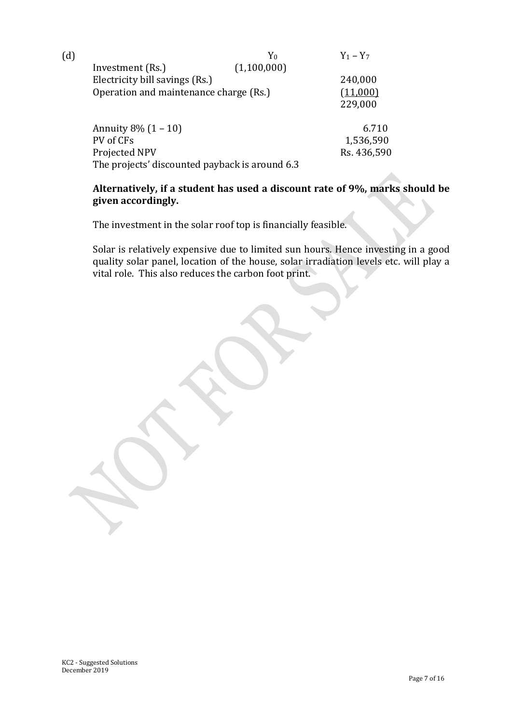| (d) |                                                | Y0          | $Y_1 - Y_7$ |
|-----|------------------------------------------------|-------------|-------------|
|     | Investment (Rs.)                               | (1,100,000) |             |
|     | Electricity bill savings (Rs.)                 |             | 240,000     |
|     | Operation and maintenance charge (Rs.)         |             | (11,000)    |
|     |                                                |             | 229,000     |
|     |                                                |             |             |
|     | Annuity $8\%$ $(1 - 10)$                       |             | 6.710       |
|     | PV of CFs                                      |             | 1,536,590   |
|     | Projected NPV                                  |             | Rs. 436,590 |
|     | The projects' discounted payback is around 6.3 |             |             |

#### **Alternatively, if a student has used a discount rate of 9%, marks should be given accordingly.**

The investment in the solar roof top is financially feasible.

Solar is relatively expensive due to limited sun hours. Hence investing in a good quality solar panel, location of the house, solar irradiation levels etc. will play a vital role. This also reduces the carbon foot print.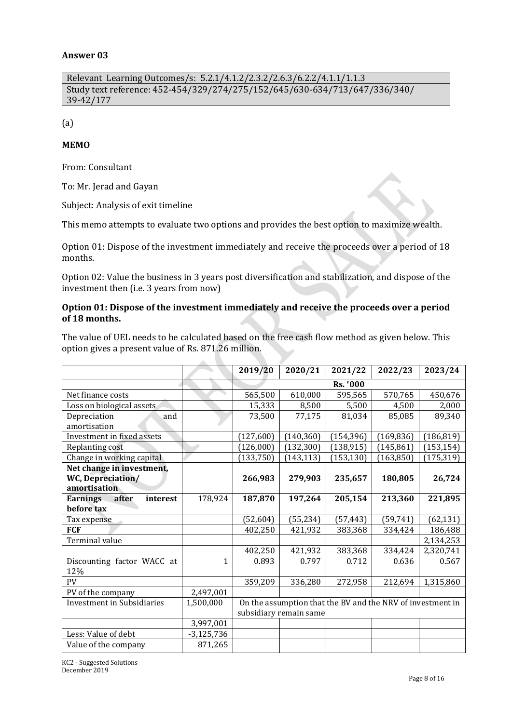#### **Answer 03**

Relevant Learning Outcomes/s: 5.2.1/4.1.2/2.3.2/2.6.3/6.2.2/4.1.1/1.1.3 Study text reference: 452-454/329/274/275/152/645/630-634/713/647/336/340/ 39-42/177

(a)

#### **MEMO**

From: Consultant

To: Mr. Jerad and Gayan

Subject: Analysis of exit timeline

This memo attempts to evaluate two options and provides the best option to maximize wealth.

Option 01: Dispose of the investment immediately and receive the proceeds over a period of 18 months.

Option 02: Value the business in 3 years post diversification and stabilization, and dispose of the investment then (i.e. 3 years from now)

#### **Option 01: Dispose of the investment immediately and receive the proceeds over a period of 18 months.**

The value of UEL needs to be calculated based on the free cash flow method as given below. This option gives a present value of Rs. 871.26 million.

|                                   |              | 2019/20                | 2020/21    | 2021/22    | 2022/23                                                    | 2023/24    |
|-----------------------------------|--------------|------------------------|------------|------------|------------------------------------------------------------|------------|
|                                   |              |                        |            | Rs. '000   |                                                            |            |
| Net finance costs                 |              | 565,500                | 610,000    | 595,565    | 570,765                                                    | 450,676    |
| Loss on biological assets         |              | 15,333                 | 8,500      | 5,500      | 4,500                                                      | 2,000      |
| Depreciation<br>and               |              | 73,500                 | 77,175     | 81,034     | 85,085                                                     | 89,340     |
| amortisation                      |              |                        |            |            |                                                            |            |
| Investment in fixed assets        |              | (127,600)              | (140, 360) | (154, 396) | (169, 836)                                                 | (186, 819) |
| Replanting cost                   |              | (126,000)              | (132, 300) | (138, 915) | (145, 861)                                                 | (153, 154) |
| Change in working capital         |              | (133, 750)             | (143, 113) | (153, 130) | (163, 850)                                                 | (175, 319) |
| Net change in investment,         |              |                        |            |            |                                                            |            |
| WC, Depreciation/                 |              | 266,983                | 279,903    | 235,657    | 180,805                                                    | 26,724     |
| amortisation                      |              |                        |            |            |                                                            |            |
| Earnings<br>after<br>interest     | 178,924      | 187,870                | 197,264    | 205,154    | 213,360                                                    | 221,895    |
| before tax                        |              |                        |            |            |                                                            |            |
| Tax expense                       |              | (52, 604)              | (55, 234)  | (57, 443)  | (59, 741)                                                  | (62, 131)  |
| <b>FCF</b>                        |              | 402,250                | 421,932    | 383,368    | 334,424                                                    | 186,488    |
| Terminal value                    |              |                        |            |            |                                                            | 2,134,253  |
|                                   |              | 402,250                | 421,932    | 383,368    | 334,424                                                    | 2,320,741  |
| Discounting factor WACC at        | 1            | 0.893                  | 0.797      | 0.712      | 0.636                                                      | 0.567      |
| 12%                               |              |                        |            |            |                                                            |            |
| PV                                |              | 359,209                | 336,280    | 272,958    | 212,694                                                    | 1,315,860  |
| PV of the company                 | 2,497,001    |                        |            |            |                                                            |            |
| <b>Investment in Subsidiaries</b> | 1,500,000    |                        |            |            | On the assumption that the BV and the NRV of investment in |            |
|                                   |              | subsidiary remain same |            |            |                                                            |            |
|                                   | 3,997,001    |                        |            |            |                                                            |            |
| Less: Value of debt               | $-3,125,736$ |                        |            |            |                                                            |            |
| Value of the company              | 871,265      |                        |            |            |                                                            |            |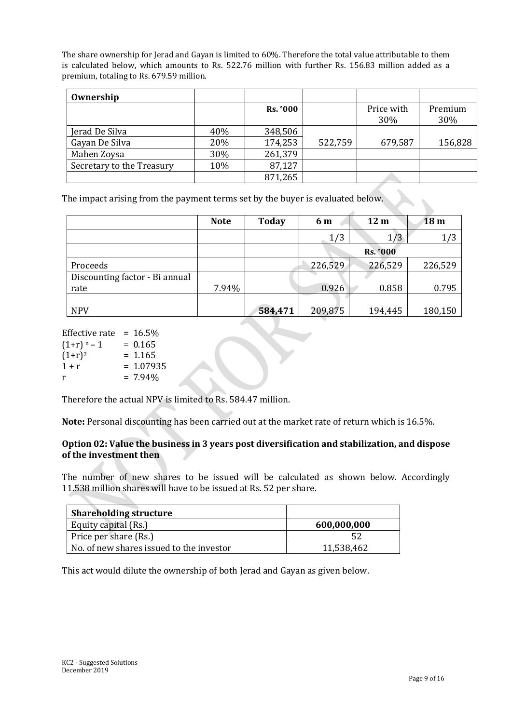The share ownership for Jerad and Gayan is limited to 60%. Therefore the total value attributable to them is calculated below, which amounts to Rs. 522.76 million with further Rs. 156.83 million added as a premium, totaling to Rs. 679.59 million.

| Ownership                 |     |                 |         |                   |                |
|---------------------------|-----|-----------------|---------|-------------------|----------------|
|                           |     | <b>Rs. '000</b> |         | Price with<br>30% | Premium<br>30% |
| Jerad De Silva            | 40% | 348,506         |         |                   |                |
| Gayan De Silva            | 20% | 174,253         | 522,759 | 679,587           | 156,828        |
| Mahen Zoysa               | 30% | 261,379         |         |                   |                |
| Secretary to the Treasury | 10% | 87,127          |         |                   |                |
|                           |     | 871,265         |         |                   |                |

The impact arising from the payment terms set by the buyer is evaluated below.

|                                        | <b>Note</b> | <b>Today</b> | 6 m     | 12 <sub>m</sub> | 18 <sub>m</sub> |
|----------------------------------------|-------------|--------------|---------|-----------------|-----------------|
|                                        |             |              | 1/3     | 1/3             | 1/3             |
|                                        |             |              |         | Rs. '000        |                 |
| Proceeds                               |             |              | 226,529 | 226,529         | 226,529         |
| Discounting factor - Bi annual<br>rate | 7.94%       |              | 0.926   | 0.858           | 0.795           |
| <b>NPV</b>                             |             | 584,471      | 209,875 | 194,445         | 180,150         |

| Effective rate | $= 16.5\%$  |
|----------------|-------------|
| $(1+r)^n - 1$  | $= 0.165$   |
| $(1+r)^2$      | $= 1.165$   |
| $1 + r$        | $= 1.07935$ |
| r              | $= 7.94\%$  |

Therefore the actual NPV is limited to Rs. 584.47 million.

**Note:** Personal discounting has been carried out at the market rate of return which is 16.5%.

#### **Option 02: Value the business in 3 years post diversification and stabilization, and dispose of the investment then**

The number of new shares to be issued will be calculated as shown below. Accordingly 11.538 million shares will have to be issued at Rs. 52 per share.

| <b>Shareholding structure</b>            |             |
|------------------------------------------|-------------|
| Equity capital (Rs.)                     | 600,000,000 |
| Price per share (Rs.)                    |             |
| No. of new shares issued to the investor | 11,538,462  |

This act would dilute the ownership of both Jerad and Gayan as given below.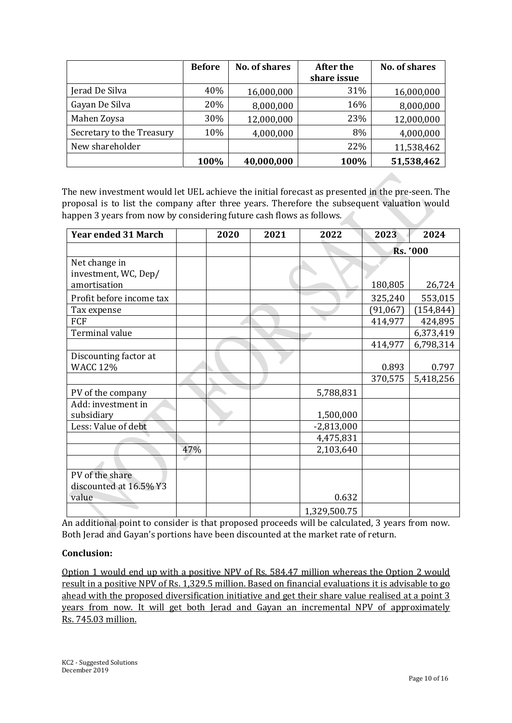|                           | <b>Before</b> | <b>No. of shares</b> | After the   | <b>No. of shares</b> |
|---------------------------|---------------|----------------------|-------------|----------------------|
|                           |               |                      | share issue |                      |
| Jerad De Silva            | 40%           | 16,000,000           | 31%         | 16,000,000           |
| Gayan De Silva            | 20%           | 8,000,000            | 16%         | 8,000,000            |
| Mahen Zoysa               | 30%           | 12,000,000           | 23%         | 12,000,000           |
| Secretary to the Treasury | 10%           | 4,000,000            | 8%          | 4,000,000            |
| New shareholder           |               |                      | 22%         | 11,538,462           |
|                           | 100%          | 40,000,000           | 100%        | 51,538,462           |

The new investment would let UEL achieve the initial forecast as presented in the pre-seen. The proposal is to list the company after three years. Therefore the subsequent valuation would happen 3 years from now by considering future cash flows as follows.

| <b>Year ended 31 March</b>                            |     | 2020 | 2021 | 2022         | 2023      | 2024       |
|-------------------------------------------------------|-----|------|------|--------------|-----------|------------|
|                                                       |     |      |      |              | Rs. '000  |            |
| Net change in<br>investment, WC, Dep/<br>amortisation |     |      |      |              | 180,805   | 26,724     |
| Profit before income tax                              |     |      |      |              | 325,240   | 553,015    |
| Tax expense                                           |     |      |      |              | (91, 067) | (154, 844) |
| FCF                                                   |     |      |      |              | 414,977   | 424,895    |
| Terminal value                                        |     |      |      |              |           | 6,373,419  |
|                                                       |     |      |      |              | 414,977   | 6,798,314  |
| Discounting factor at<br><b>WACC 12%</b>              |     |      |      |              | 0.893     | 0.797      |
|                                                       |     |      |      |              | 370,575   | 5,418,256  |
| PV of the company                                     |     |      |      | 5,788,831    |           |            |
| Add: investment in<br>subsidiary                      |     |      |      | 1,500,000    |           |            |
| Less: Value of debt                                   |     |      |      | $-2,813,000$ |           |            |
|                                                       |     |      |      | 4,475,831    |           |            |
|                                                       | 47% |      |      | 2,103,640    |           |            |
|                                                       |     |      |      |              |           |            |
| PV of the share<br>discounted at 16.5% Y3<br>value    |     |      |      | 0.632        |           |            |
|                                                       |     |      |      | 1,329,500.75 |           |            |

An additional point to consider is that proposed proceeds will be calculated, 3 years from now. Both Jerad and Gayan's portions have been discounted at the market rate of return.

#### **Conclusion:**

Option 1 would end up with a positive NPV of Rs. 584.47 million whereas the Option 2 would result in a positive NPV of Rs. 1,329.5 million. Based on financial evaluations it is advisable to go ahead with the proposed diversification initiative and get their share value realised at a point 3 years from now. It will get both Jerad and Gayan an incremental NPV of approximately Rs. 745.03 million.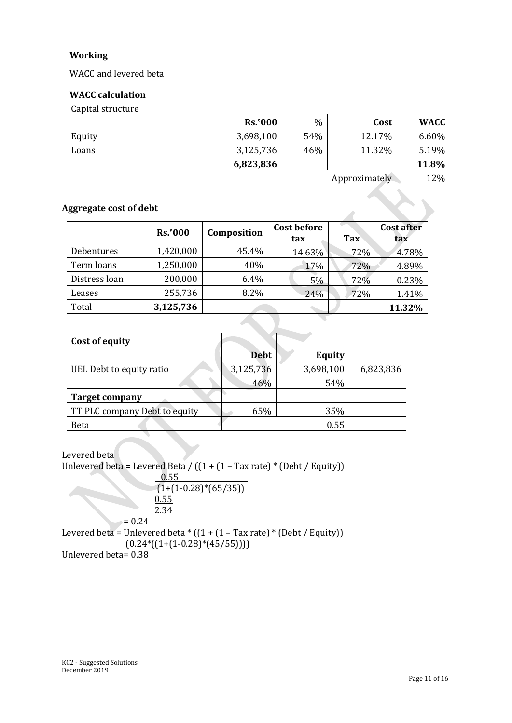#### **Working**

WACC and levered beta

#### **WACC calculation**

Capital structure

|        | Rs.000    | $\%$ | Cost   | <b>WACC</b> |
|--------|-----------|------|--------|-------------|
| Equity | 3,698,100 | 54%  | 12.17% | 6.60%       |
| Loans  | 3,125,736 | 46%  | 11.32% | 5.19%       |
|        | 6,823,836 |      |        | 11.8%       |

Approximately 12%

#### **Aggregate cost of debt**

|               | <b>Rs.'000</b> | Composition | <b>Cost before</b><br>tax | <b>Tax</b> | <b>Cost after</b><br>tax |
|---------------|----------------|-------------|---------------------------|------------|--------------------------|
| Debentures    | 1,420,000      | 45.4%       | 14.63%                    | 72%        | 4.78%                    |
| Term loans    | 1,250,000      | 40%         | 17%                       | 72%        | 4.89%                    |
| Distress loan | 200,000        | 6.4%        | 5%                        | 72%        | 0.23%                    |
| Leases        | 255,736        | 8.2%        | 24%                       | 72%        | 1.41%                    |
| Total         | 3,125,736      |             |                           |            | 11.32%                   |

| Cost of equity                |             |               |           |
|-------------------------------|-------------|---------------|-----------|
|                               | <b>Debt</b> | <b>Equity</b> |           |
| UEL Debt to equity ratio      | 3,125,736   | 3,698,100     | 6,823,836 |
|                               | 46%         | 54%           |           |
| <b>Target company</b>         |             |               |           |
| TT PLC company Debt to equity | 65%         | 35%           |           |
| <b>Beta</b>                   |             | 0.55          |           |

Levered beta Unlevered beta = Levered Beta /  $((1 + (1 - Tax rate) * (Debt / Equity)))$  0.55  $(1+(1-0.28)*(65/35))$ 0.55 2.34  $= 0.24$ Levered beta = Unlevered beta  $*(1 + (1 - Tax rate) * (Debt / Equity))$  $(0.24*((1+(1-0.28)*(45/55))))$ Unlevered beta= 0.38

KC2 - Suggested Solutions December 2019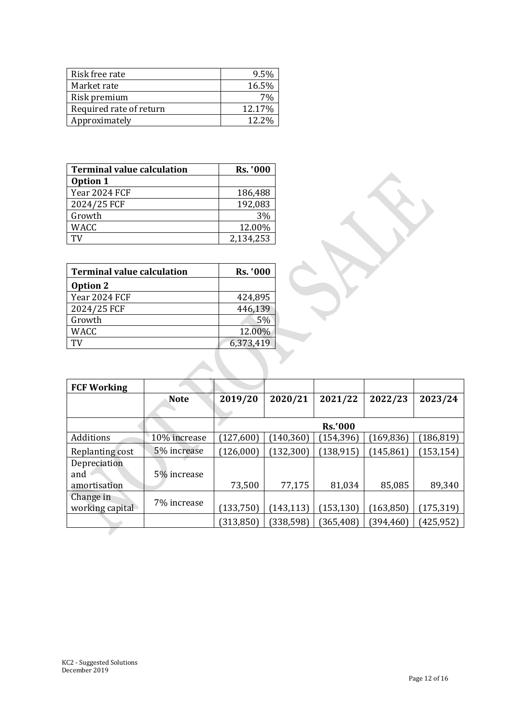| Risk free rate          | 9.5%   |
|-------------------------|--------|
| Market rate             | 16.5%  |
| Risk premium            |        |
| Required rate of return | 12.17% |
| Approximately           | 12.2%  |

| <b>Terminal value calculation</b> | Rs. '000  |
|-----------------------------------|-----------|
| Option 1                          |           |
| Year 2024 FCF                     | 186,488   |
| 2024/25 FCF                       | 192,083   |
| Growth                            | 3%        |
| <b>WACC</b>                       | 12.00%    |
|                                   | 2,134,253 |

| <b>Terminal value calculation</b> | Rs. '000        |
|-----------------------------------|-----------------|
| Option 2                          |                 |
| Year 2024 FCF                     | 424,895         |
| 2024/25 FCF                       | 446,139         |
| Growth                            | .5 <sub>%</sub> |
| <b>WACC</b>                       | 12.00%          |
| ТV                                | 6,373,419       |

 $\mathcal{L}_{\mathcal{A}}$ 

| <b>FCF Working</b> |              |            |            |                |            |            |
|--------------------|--------------|------------|------------|----------------|------------|------------|
|                    | <b>Note</b>  | 2019/20    | 2020/21    | 2021/22        | 2022/23    | 2023/24    |
|                    |              |            |            |                |            |            |
|                    |              |            |            | <b>Rs.'000</b> |            |            |
| Additions          | 10% increase | (127, 600) | (140, 360) | (154, 396)     | (169, 836) | (186, 819) |
| Replanting cost    | 5% increase  | (126,000)  | (132, 300) | (138, 915)     | (145, 861) | (153, 154) |
| Depreciation       |              |            |            |                |            |            |
| and                | 5% increase  |            |            |                |            |            |
| amortisation       |              | 73,500     | 77,175     | 81,034         | 85,085     | 89,340     |
| Change in          | 7% increase  |            |            |                |            |            |
| working capital    |              | (133, 750) | (143, 113) | (153, 130)     | (163, 850) | (175, 319) |
|                    |              | (313, 850) | (338, 598) | (365, 408)     | (394,460)  | (425, 952) |
|                    |              |            |            |                |            |            |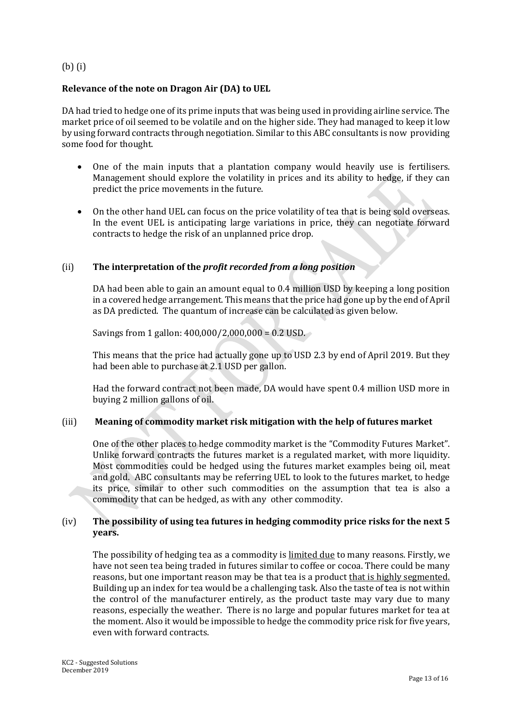#### (b) (i)

#### **Relevance of the note on Dragon Air (DA) to UEL**

DA had tried to hedge one of its prime inputs that was being used in providing airline service. The market price of oil seemed to be volatile and on the higher side. They had managed to keep it low by using forward contracts through negotiation. Similar to this ABC consultants is now providing some food for thought.

- One of the main inputs that a plantation company would heavily use is fertilisers. Management should explore the volatility in prices and its ability to hedge, if they can predict the price movements in the future.
- On the other hand UEL can focus on the price volatility of tea that is being sold overseas. In the event UEL is anticipating large variations in price, they can negotiate forward contracts to hedge the risk of an unplanned price drop.

#### (ii) **The interpretation of the** *profit recorded from a long position*

DA had been able to gain an amount equal to 0.4 million USD by keeping a long position in a covered hedge arrangement. This means that the price had gone up by the end of April as DA predicted. The quantum of increase can be calculated as given below.

Savings from 1 gallon:  $400,000/2,000,000 = 0.2$  USD.

This means that the price had actually gone up to USD 2.3 by end of April 2019. But they had been able to purchase at 2.1 USD per gallon.

Had the forward contract not been made, DA would have spent 0.4 million USD more in buying 2 million gallons of oil.

#### (iii) **Meaning of commodity market risk mitigation with the help of futures market**

One of the other places to hedge commodity market is the "Commodity Futures Market". Unlike forward contracts the futures market is a regulated market, with more liquidity. Most commodities could be hedged using the futures market examples being oil, meat and gold. ABC consultants may be referring UEL to look to the futures market, to hedge its price, similar to other such commodities on the assumption that tea is also a commodity that can be hedged, as with any other commodity.

#### (iv) **The possibility of using tea futures in hedging commodity price risks for the next 5 years.**

The possibility of hedging tea as a commodity is limited due to many reasons. Firstly, we have not seen tea being traded in futures similar to coffee or cocoa. There could be many reasons, but one important reason may be that tea is a product that is highly segmented. Building up an index for tea would be a challenging task. Also the taste of tea is not within the control of the manufacturer entirely, as the product taste may vary due to many reasons, especially the weather. There is no large and popular futures market for tea at the moment. Also it would be impossible to hedge the commodity price risk for five years, even with forward contracts.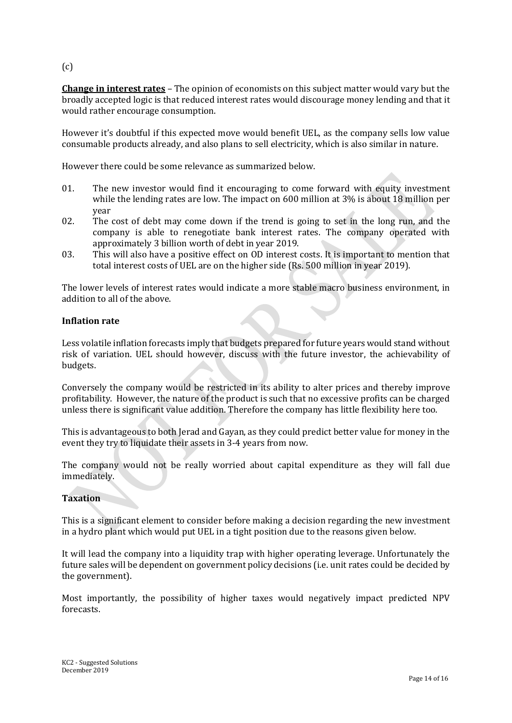(c)

**Change in interest rates** – The opinion of economists on this subject matter would vary but the broadly accepted logic is that reduced interest rates would discourage money lending and that it would rather encourage consumption.

However it's doubtful if this expected move would benefit UEL, as the company sells low value consumable products already, and also plans to sell electricity, which is also similar in nature.

However there could be some relevance as summarized below.

- 01. The new investor would find it encouraging to come forward with equity investment while the lending rates are low. The impact on 600 million at 3% is about 18 million per year
- 02. The cost of debt may come down if the trend is going to set in the long run, and the company is able to renegotiate bank interest rates. The company operated with approximately 3 billion worth of debt in year 2019.
- 03. This will also have a positive effect on OD interest costs. It is important to mention that total interest costs of UEL are on the higher side (Rs. 500 million in year 2019).

The lower levels of interest rates would indicate a more stable macro business environment, in addition to all of the above.

#### **Inflation rate**

Less volatile inflation forecasts imply that budgets prepared for future years would stand without risk of variation. UEL should however, discuss with the future investor, the achievability of budgets.

Conversely the company would be restricted in its ability to alter prices and thereby improve profitability. However, the nature of the product is such that no excessive profits can be charged unless there is significant value addition. Therefore the company has little flexibility here too.

This is advantageous to both Jerad and Gayan, as they could predict better value for money in the event they try to liquidate their assets in 3-4 years from now.

The company would not be really worried about capital expenditure as they will fall due immediately.

#### **Taxation**

This is a significant element to consider before making a decision regarding the new investment in a hydro plant which would put UEL in a tight position due to the reasons given below.

It will lead the company into a liquidity trap with higher operating leverage. Unfortunately the future sales will be dependent on government policy decisions (i.e. unit rates could be decided by the government).

Most importantly, the possibility of higher taxes would negatively impact predicted NPV forecasts.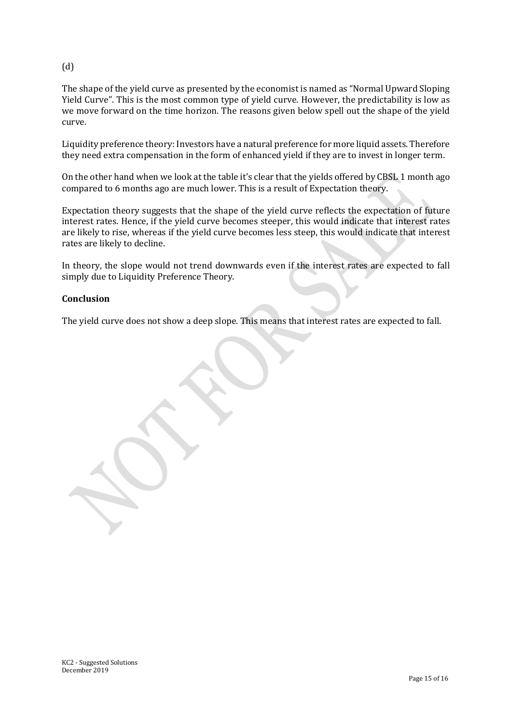#### (d)

The shape of the yield curve as presented by the economist is named as "Normal Upward Sloping Yield Curve". This is the most common type of yield curve. However, the predictability is low as we move forward on the time horizon. The reasons given below spell out the shape of the yield curve.

Liquidity preference theory: Investors have a natural preference for more liquid assets. Therefore they need extra compensation in the form of enhanced yield if they are to invest in longer term.

On the other hand when we look at the table it's clear that the yields offered by CBSL 1 month ago compared to 6 months ago are much lower. This is a result of Expectation theory.

Expectation theory suggests that the shape of the yield curve reflects the expectation of future interest rates. Hence, if the yield curve becomes steeper, this would indicate that interest rates are likely to rise, whereas if the yield curve becomes less steep, this would indicate that interest rates are likely to decline.

In theory, the slope would not trend downwards even if the interest rates are expected to fall simply due to Liquidity Preference Theory.

#### **Conclusion**

The yield curve does not show a deep slope. This means that interest rates are expected to fall.